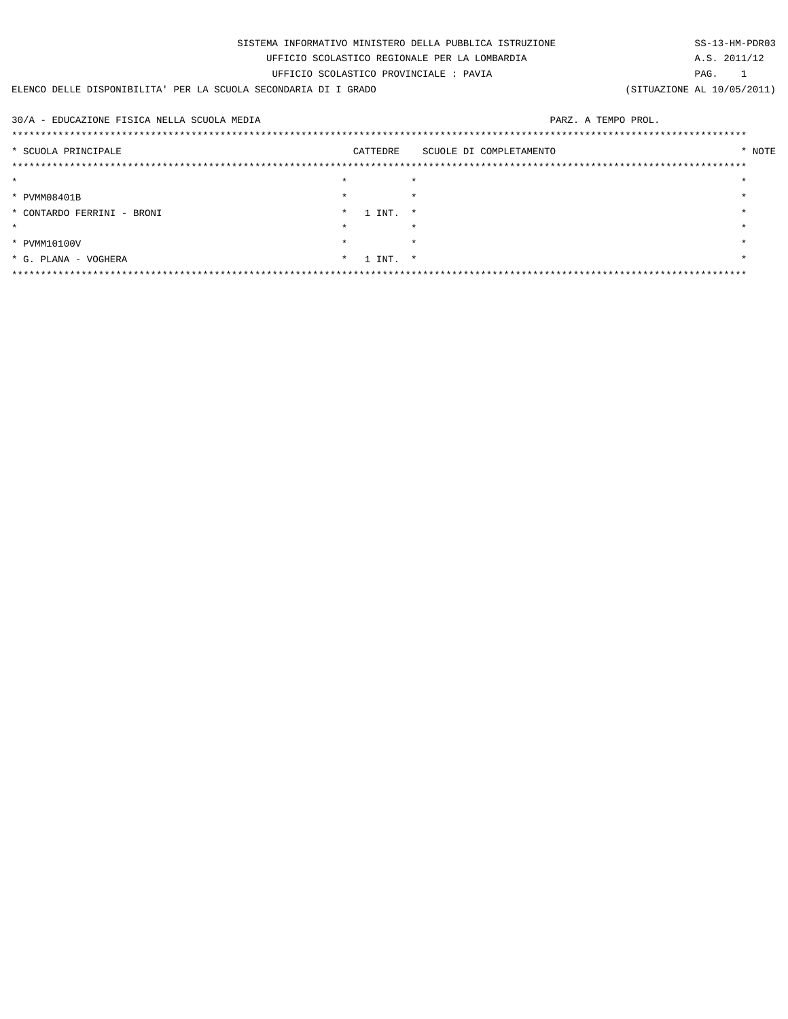| SISTEMA INFORMATIVO MINISTERO DELLA PUBBLICA ISTRUZIONE         |         |            |                         |  |                            |  |  |
|-----------------------------------------------------------------|---------|------------|-------------------------|--|----------------------------|--|--|
| UFFICIO SCOLASTICO REGIONALE PER LA LOMBARDIA                   |         |            |                         |  |                            |  |  |
| UFFICIO SCOLASTICO PROVINCIALE : PAVIA                          |         |            |                         |  |                            |  |  |
| ELENCO DELLE DISPONIBILITA' PER LA SCUOLA SECONDARIA DI I GRADO |         |            |                         |  | (SITUAZIONE AL 10/05/2011) |  |  |
|                                                                 |         |            |                         |  |                            |  |  |
| 30/A - EDUCAZIONE FISICA NELLA SCUOLA MEDIA                     |         |            | PARZ. A TEMPO PROL.     |  |                            |  |  |
|                                                                 |         |            |                         |  |                            |  |  |
| * SCUOLA PRINCIPALE                                             |         | CATTEDRE   | SCUOLE DI COMPLETAMENTO |  | * NOTE                     |  |  |
|                                                                 |         |            |                         |  |                            |  |  |
| $\star$                                                         | $\star$ |            | $\star$                 |  | $\star$                    |  |  |
| * PVMM08401B                                                    | $\star$ |            | $\star$                 |  |                            |  |  |
| * CONTARDO FERRINI - BRONI                                      | $\star$ | 1 INT.     | $\star$                 |  |                            |  |  |
| $\star$                                                         | $\star$ |            | $\star$                 |  |                            |  |  |
| * PVMM10100V                                                    | $\star$ |            | $\star$                 |  |                            |  |  |
| * G. PLANA - VOGHERA                                            |         | $*$ 1 INT. | $\star$                 |  |                            |  |  |
|                                                                 |         |            |                         |  |                            |  |  |